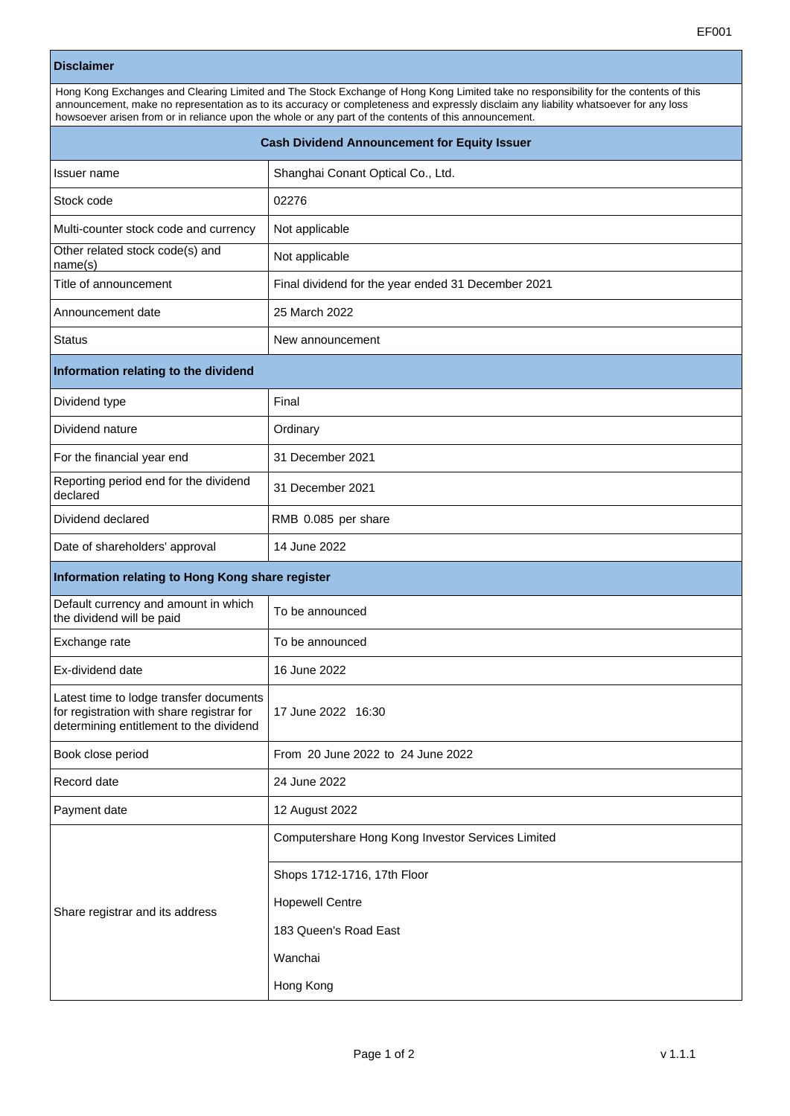## **Disclaimer**

| Hong Kong Exchanges and Clearing Limited and The Stock Exchange of Hong Kong Limited take no responsibility for the contents of this |  |  |
|--------------------------------------------------------------------------------------------------------------------------------------|--|--|
| announcement, make no representation as to its accuracy or completeness and expressly disclaim any liability whatsoever for any loss |  |  |
| howsoever arisen from or in reliance upon the whole or any part of the contents of this announcement.                                |  |  |
| <b>Cash Dividend Announcement for Equity Issuer</b>                                                                                  |  |  |
|                                                                                                                                      |  |  |

| Issuer name                                                                                                                     | Shanghai Conant Optical Co., Ltd.                  |  |
|---------------------------------------------------------------------------------------------------------------------------------|----------------------------------------------------|--|
| Stock code                                                                                                                      | 02276                                              |  |
| Multi-counter stock code and currency                                                                                           | Not applicable                                     |  |
| Other related stock code(s) and<br>name(s)                                                                                      | Not applicable                                     |  |
| Title of announcement                                                                                                           | Final dividend for the year ended 31 December 2021 |  |
| Announcement date                                                                                                               | 25 March 2022                                      |  |
| <b>Status</b>                                                                                                                   | New announcement                                   |  |
| Information relating to the dividend                                                                                            |                                                    |  |
| Dividend type                                                                                                                   | Final                                              |  |
| Dividend nature                                                                                                                 | Ordinary                                           |  |
| For the financial year end                                                                                                      | 31 December 2021                                   |  |
| Reporting period end for the dividend<br>declared                                                                               | 31 December 2021                                   |  |
| Dividend declared                                                                                                               | RMB 0.085 per share                                |  |
| Date of shareholders' approval                                                                                                  | 14 June 2022                                       |  |
| Information relating to Hong Kong share register                                                                                |                                                    |  |
| Default currency and amount in which<br>the dividend will be paid                                                               | To be announced                                    |  |
| Exchange rate                                                                                                                   | To be announced                                    |  |
| Ex-dividend date                                                                                                                | 16 June 2022                                       |  |
| Latest time to lodge transfer documents<br>for registration with share registrar for<br>determining entitlement to the dividend | 17 June 2022 16:30                                 |  |
| Book close period                                                                                                               | From 20 June 2022 to 24 June 2022                  |  |
| Record date                                                                                                                     | 24 June 2022                                       |  |
| Payment date                                                                                                                    | 12 August 2022                                     |  |
| Share registrar and its address                                                                                                 | Computershare Hong Kong Investor Services Limited  |  |
|                                                                                                                                 | Shops 1712-1716, 17th Floor                        |  |
|                                                                                                                                 | <b>Hopewell Centre</b>                             |  |
|                                                                                                                                 | 183 Queen's Road East                              |  |
|                                                                                                                                 | Wanchai                                            |  |
|                                                                                                                                 | Hong Kong                                          |  |